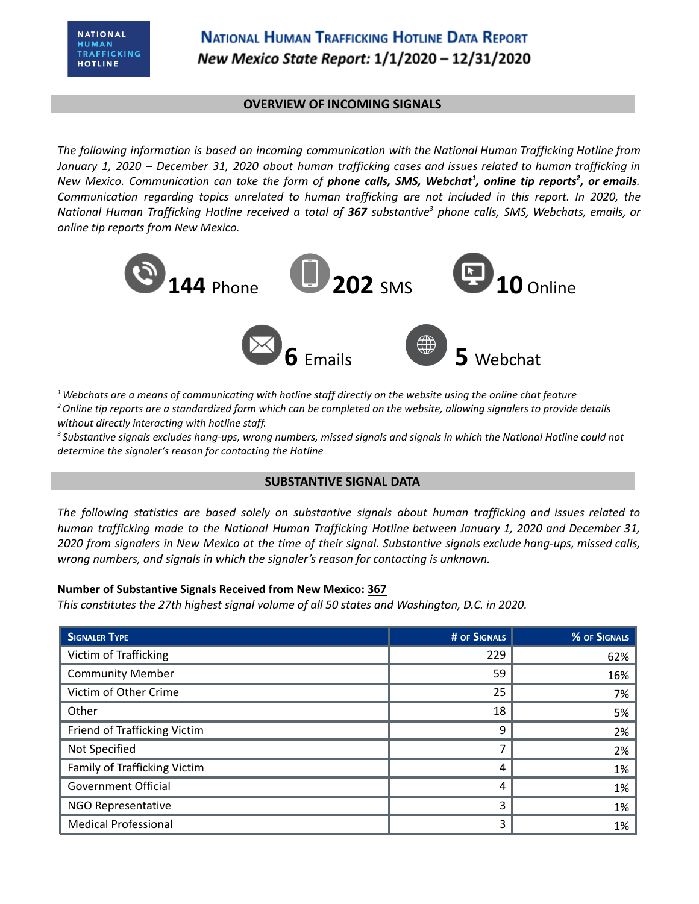### **OVERVIEW OF INCOMING SIGNALS**

*The following information is based on incoming communication with the National Human Trafficking Hotline from* January 1, 2020 - December 31, 2020 about human trafficking cases and issues related to human trafficking in New Mexico. Communication can take the form of **phone calls, SMS, Webchat<sup>1</sup>, online tip reports<sup>2</sup>, or emails.** *Communication regarding topics unrelated to human trafficking are not included in this report. In 2020, the* National Human Trafficking Hotline received a total of 367 substantive<sup>3</sup> phone calls, SMS, Webchats, emails, or *online tip reports from New Mexico.*



 $1$  Webchats are a means of communicating with hotline staff directly on the website using the online chat feature <sup>2</sup> Online tip reports are a standardized form which can be completed on the website, allowing signalers to provide details *without directly interacting with hotline staff.*

<sup>3</sup> Substantive signals excludes hang-ups, wrong numbers, missed signals and signals in which the National Hotline could not *determine the signaler's reason for contacting the Hotline*

## **SUBSTANTIVE SIGNAL DATA**

*The following statistics are based solely on substantive signals about human trafficking and issues related to human trafficking made to the National Human Trafficking Hotline between January 1, 2020 and December 31,* 2020 from signalers in New Mexico at the time of their signal. Substantive signals exclude hang-ups, missed calls, *wrong numbers, and signals in which the signaler's reason for contacting is unknown.*

#### **Number of Substantive Signals Received from New Mexico: 367**

*This constitutes the 27th highest signal volume of all 50 states and Washington, D.C. in 2020.*

| <b>SIGNALER TYPE</b>         | # OF SIGNALS | % OF SIGNALS |
|------------------------------|--------------|--------------|
| Victim of Trafficking        | 229          | 62%          |
| <b>Community Member</b>      | 59           | 16%          |
| Victim of Other Crime        | 25           | 7%           |
| Other                        | 18           | 5%           |
| Friend of Trafficking Victim | 9            | 2%           |
| Not Specified                |              | 2%           |
| Family of Trafficking Victim | 4            | 1%           |
| <b>Government Official</b>   | 4            | 1%           |
| NGO Representative           | 3            | 1%           |
| <b>Medical Professional</b>  | 3            | 1%           |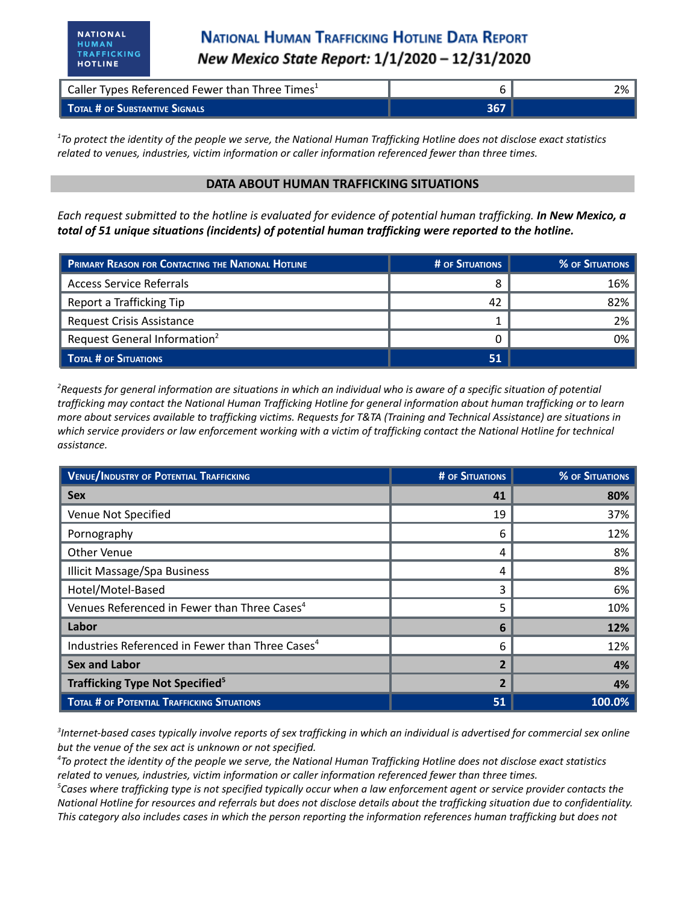HUMAN

| Caller Types Referenced Fewer than Three Times <sup>1</sup> |     | 2% |
|-------------------------------------------------------------|-----|----|
| TOTAL # OF SUBSTANTIVE SIGNALS                              | 367 |    |

 $17$ o protect the identity of the people we serve, the National Human Trafficking Hotline does not disclose exact statistics *related to venues, industries, victim information or caller information referenced fewer than three times.*

#### **DATA ABOUT HUMAN TRAFFICKING SITUATIONS**

Each request submitted to the hotline is evaluated for evidence of potential human trafficking. In New Mexico, a *total of 51 unique situations (incidents) of potential human trafficking were reported to the hotline.*

| PRIMARY REASON FOR CONTACTING THE NATIONAL HOTLINE | # OF SITUATIONS | % OF SITUATIONS |
|----------------------------------------------------|-----------------|-----------------|
| <b>Access Service Referrals</b>                    |                 | 16%             |
| Report a Trafficking Tip                           | 42              | 82%             |
| <b>Request Crisis Assistance</b>                   |                 | 2%              |
| Request General Information <sup>2</sup>           |                 | 0%              |
| TOTAL # OF SITUATIONS                              | 51              |                 |

<sup>2</sup>Requests for general information are situations in which an individual who is aware of a specific situation of potential trafficking may contact the National Human Trafficking Hotline for general information about human trafficking or to learn more about services available to trafficking victims. Requests for T&TA (Training and Technical Assistance) are situations in which service providers or law enforcement working with a victim of trafficking contact the National Hotline for technical *assistance.*

| <b>VENUE/INDUSTRY OF POTENTIAL TRAFFICKING</b>               | <b># OF SITUATIONS</b>   | <b>% OF SITUATIONS</b> |
|--------------------------------------------------------------|--------------------------|------------------------|
| <b>Sex</b>                                                   | 41                       | 80%                    |
| Venue Not Specified                                          | 19                       | 37%                    |
| Pornography                                                  | 6                        | 12%                    |
| <b>Other Venue</b>                                           | 4                        | 8%                     |
| <b>Illicit Massage/Spa Business</b>                          | 4                        | 8%                     |
| Hotel/Motel-Based                                            | 3                        | 6%                     |
| Venues Referenced in Fewer than Three Cases <sup>4</sup>     | 5                        | 10%                    |
| Labor                                                        | 6                        | 12%                    |
| Industries Referenced in Fewer than Three Cases <sup>4</sup> | 6                        | 12%                    |
| <b>Sex and Labor</b>                                         | $\overline{\mathbf{z}}$  | 4%                     |
| Trafficking Type Not Specified <sup>5</sup>                  | $\overline{\phantom{a}}$ | 4%                     |
| <b>TOTAL # OF POTENTIAL TRAFFICKING SITUATIONS</b>           | 51                       | 100.0%                 |

 ${}^{3}$ Internet-based cases typically involve reports of sex trafficking in which an individual is advertised for commercial sex online *but the venue of the sex act is unknown or not specified.*

<sup>4</sup>To protect the identity of the people we serve, the National Human Trafficking Hotline does not disclose exact statistics *related to venues, industries, victim information or caller information referenced fewer than three times.*

 ${}^5$ Cases where trafficking type is not specified typically occur when a law enforcement agent or service provider contacts the National Hotline for resources and referrals but does not disclose details about the trafficking situation due to confidentiality. This category also includes cases in which the person reporting the information references human trafficking but does not